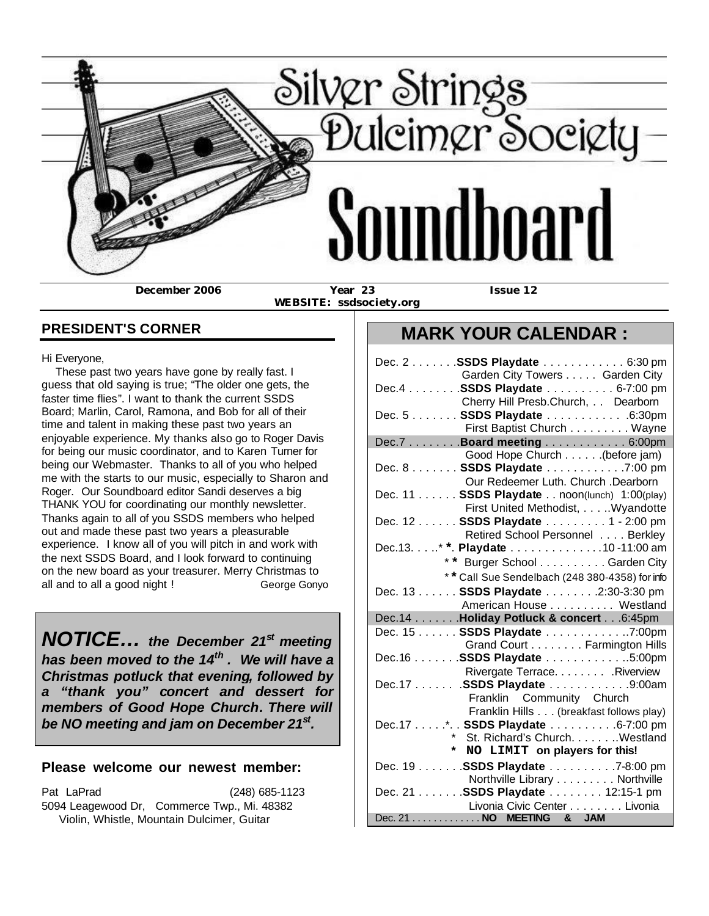

 **WEBSITE: ssdsociety.org**

# **MARK YOUR CALENDAR :**

| Hi Everyone,                                              |  |  |  |  |  |
|-----------------------------------------------------------|--|--|--|--|--|
| These past two years have gone by really fast. I          |  |  |  |  |  |
| guess that old saying is true; "The older one gets, the   |  |  |  |  |  |
| faster time flies". I want to thank the current SSDS      |  |  |  |  |  |
| Board; Marlin, Carol, Ramona, and Bob for all of their    |  |  |  |  |  |
| time and talent in making these past two years an         |  |  |  |  |  |
| enjoyable experience. My thanks also go to Roger Davis    |  |  |  |  |  |
| for being our music coordinator, and to Karen Turner for  |  |  |  |  |  |
| being our Webmaster. Thanks to all of you who helped      |  |  |  |  |  |
| me with the starts to our music, especially to Sharon and |  |  |  |  |  |
| Roger. Our Soundboard editor Sandi deserves a big         |  |  |  |  |  |
| THANK YOU for coordinating our monthly newsletter.        |  |  |  |  |  |
| Thanks again to all of you SSDS members who helped        |  |  |  |  |  |
| out and made these past two years a pleasurable           |  |  |  |  |  |
| experience. I know all of you will pitch in and work with |  |  |  |  |  |
| the next SSDS Board, and I look forward to continuing     |  |  |  |  |  |
| on the new board as your treasurer. Merry Christmas to    |  |  |  |  |  |
| all and to all a good night !<br>George Gonyo             |  |  |  |  |  |
|                                                           |  |  |  |  |  |

**PRESIDENT'S CORNER**

*NOTICE… the December 21st meeting has been moved to the 14th . We will have a Christmas potluck that evening, followed by a "thank you" concert and dessert for members of Good Hope Church. There will be NO meeting and jam on December 21st .*

#### **Please welcome our newest member:**

Pat LaPrad (248) 685-1123 5094 Leagewood Dr, Commerce Twp., Mi. 48382 Violin, Whistle, Mountain Dulcimer, Guitar

| Dec. 2 SSDS Playdate 6:30 pm                             |  |
|----------------------------------------------------------|--|
| Garden City Towers Garden City                           |  |
| Dec.4 SSDS Playdate 6-7:00 pm                            |  |
| Cherry Hill Presb.Church, Dearborn                       |  |
| Dec. 5 SSDS Playdate 6:30pm                              |  |
| First Baptist Church Wayne                               |  |
| Dec.7 Board meeting 6:00pm                               |  |
| Good Hope Church (before jam)                            |  |
| Dec. 8 SSDS Playdate 7:00 pm                             |  |
| Our Redeemer Luth. Church .Dearborn                      |  |
| Dec. 11 SSDS Playdate noon(lunch) 1:00(play)             |  |
| First United Methodist, Wyandotte                        |  |
| Dec. 12 SSDS Playdate 1 - 2:00 pm                        |  |
| Retired School Personnel Berkley                         |  |
| Dec.13* *. Playdate 10-11:00 am                          |  |
| * * Burger School Garden City                            |  |
| ** Call Sue Sendelbach (248 380-4358) for info           |  |
| Dec. 13 SSDS Playdate 2:30-3:30 pm                       |  |
| American House Westland                                  |  |
| Dec.14 Holiday Potluck & concert 6:45pm                  |  |
| Dec. 15 SSDS Playdate 7:00pm                             |  |
| Grand Court Farmington Hills                             |  |
| Dec.16 SSDS Playdate 5:00pm                              |  |
| Rivergate Terrace. Riverview                             |  |
| Dec.17 SSDS Playdate 9:00am                              |  |
| Franklin Community Church                                |  |
| Franklin Hills (breakfast follows play)                  |  |
| Dec.17*. . SSDS Playdate 6-7:00 pm                       |  |
| * St. Richard's Church. Westland                         |  |
| * NO LIMIT on players for this!                          |  |
| Dec. 19 SSDS Playdate 7-8:00 pm                          |  |
| Northville Library Northville                            |  |
| Dec. 21 SSDS Playdate 12:15-1 pm                         |  |
| Livonia Civic Center Livonia<br>Dec. 21 NO MEETING & JAM |  |
|                                                          |  |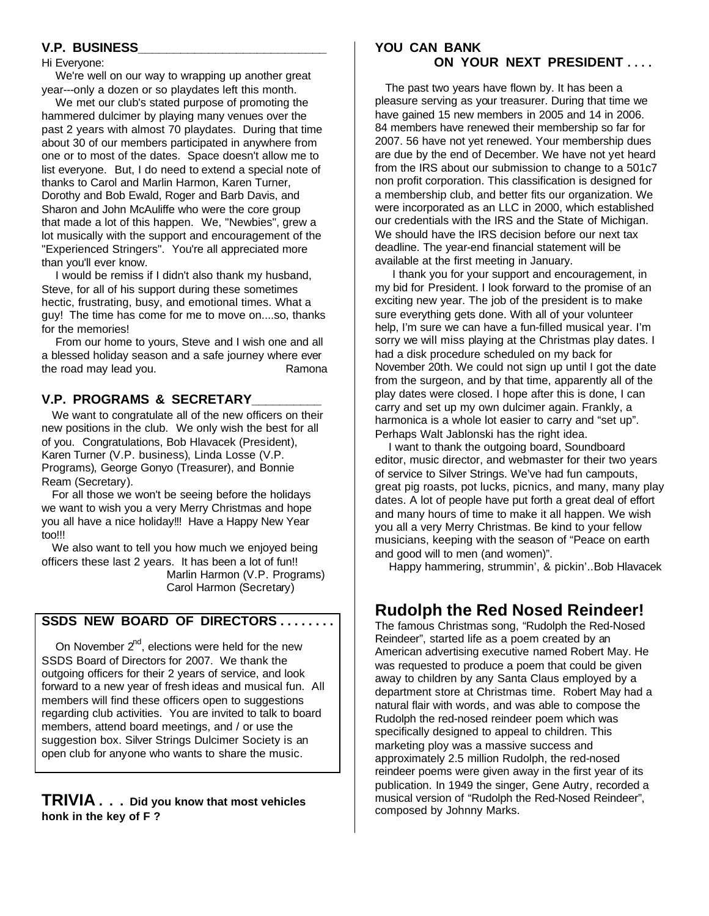#### **V.P. BUSINESS\_\_\_\_\_\_\_\_\_\_\_\_\_\_\_\_\_\_\_\_\_\_\_\_\_\_\_**

#### Hi Everyone:

 We're well on our way to wrapping up another great year---only a dozen or so playdates left this month.

 We met our club's stated purpose of promoting the hammered dulcimer by playing many venues over the past 2 years with almost 70 playdates. During that time about 30 of our members participated in anywhere from one or to most of the dates. Space doesn't allow me to list everyone. But, I do need to extend a special note of thanks to Carol and Marlin Harmon, Karen Turner, Dorothy and Bob Ewald, Roger and Barb Davis, and Sharon and John McAuliffe who were the core group that made a lot of this happen. We, "Newbies", grew a lot musically with the support and encouragement of the "Experienced Stringers". You're all appreciated more than you'll ever know.

 I would be remiss if I didn't also thank my husband, Steve, for all of his support during these sometimes hectic, frustrating, busy, and emotional times. What a guy! The time has come for me to move on....so, thanks for the memories!

 From our home to yours, Steve and I wish one and all a blessed holiday season and a safe journey where ever the road may lead you. The road may lead you.

#### **V.P. PROGRAMS & SECRETARY\_\_\_\_\_\_\_\_\_\_**

 We want to congratulate all of the new officers on their new positions in the club. We only wish the best for all of you. Congratulations, Bob Hlavacek (President), Karen Turner (V.P. business), Linda Losse (V.P. Programs), George Gonyo (Treasurer), and Bonnie Ream (Secretary).

 For all those we won't be seeing before the holidays we want to wish you a very Merry Christmas and hope you all have a nice holiday!!! Have a Happy New Year too!!!

 We also want to tell you how much we enjoyed being officers these last 2 years. It has been a lot of fun!! Marlin Harmon (V.P. Programs) Carol Harmon (Secretary)

#### **SSDS NEW BOARD OF DIRECTORS . . . . . . . .**

On November  $2^{nd}$ , elections were held for the new SSDS Board of Directors for 2007. We thank the outgoing officers for their 2 years of service, and look forward to a new year of fresh ideas and musical fun. All members will find these officers open to suggestions regarding club activities. You are invited to talk to board members, attend board meetings, and / or use the suggestion box. Silver Strings Dulcimer Society is an open club for anyone who wants to share the music.

**TRIVIA . . . Did you know that most vehicles honk in the key of F ?**

#### **YOU CAN BANK ON YOUR NEXT PRESIDENT . . . .**

 The past two years have flown by. It has been a pleasure serving as your treasurer. During that time we have gained 15 new members in 2005 and 14 in 2006. 84 members have renewed their membership so far for 2007. 56 have not yet renewed. Your membership dues are due by the end of December. We have not yet heard from the IRS about our submission to change to a 501c7 non profit corporation. This classification is designed for a membership club, and better fits our organization. We were incorporated as an LLC in 2000, which established our credentials with the IRS and the State of Michigan. We should have the IRS decision before our next tax deadline. The year-end financial statement will be available at the first meeting in January.

 I thank you for your support and encouragement, in my bid for President. I look forward to the promise of an exciting new year. The job of the president is to make sure everything gets done. With all of your volunteer help, I'm sure we can have a fun-filled musical year. I'm sorry we will miss playing at the Christmas play dates. I had a disk procedure scheduled on my back for November 20th. We could not sign up until I got the date from the surgeon, and by that time, apparently all of the play dates were closed. I hope after this is done, I can carry and set up my own dulcimer again. Frankly, a harmonica is a whole lot easier to carry and "set up". Perhaps Walt Jablonski has the right idea.

 I want to thank the outgoing board, Soundboard editor, music director, and webmaster for their two years of service to Silver Strings. We've had fun campouts, great pig roasts, pot lucks, picnics, and many, many play dates. A lot of people have put forth a great deal of effort and many hours of time to make it all happen. We wish you all a very Merry Christmas. Be kind to your fellow musicians, keeping with the season of "Peace on earth and good will to men (and women)".

Happy hammering, strummin', & pickin'..Bob Hlavacek

## **Rudolph the Red Nosed Reindeer!**

The famous Christmas song, "Rudolph the Red-Nosed Reindeer", started life as a poem created by an American advertising executive named Robert May. He was requested to produce a poem that could be given away to children by any Santa Claus employed by a department store at Christmas time. Robert May had a natural flair with words, and was able to compose the Rudolph the red-nosed reindeer poem which was specifically designed to appeal to children. This marketing ploy was a massive success and approximately 2.5 million Rudolph, the red-nosed reindeer poems were given away in the first year of its publication. In 1949 the singer, Gene Autry, recorded a musical version of "Rudolph the Red-Nosed Reindeer", composed by Johnny Marks.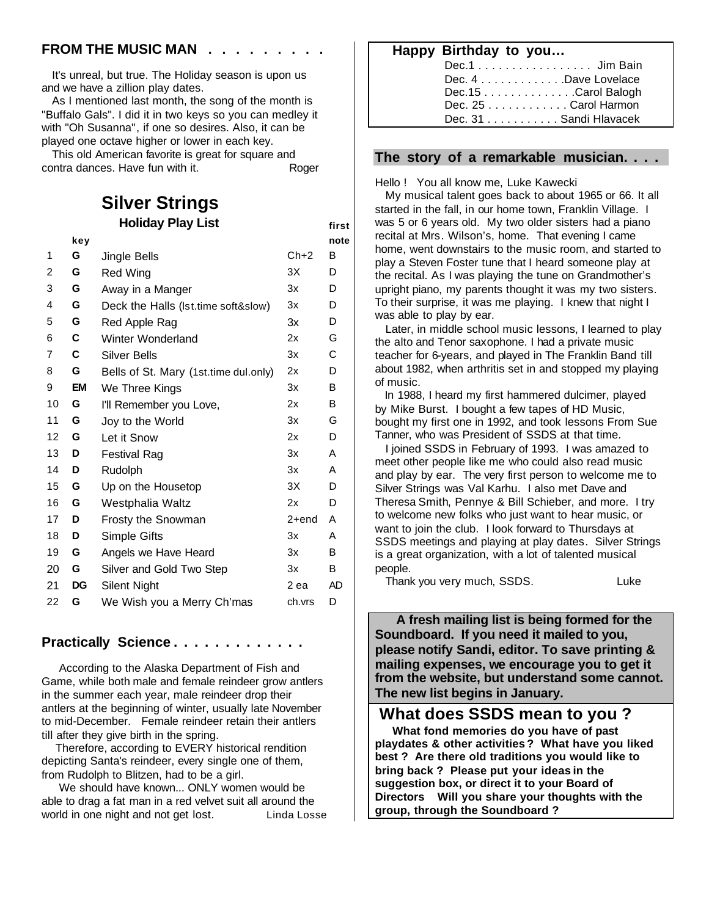#### **FROM THE MUSIC MAN**.

 It's unreal, but true. The Holiday season is upon us and we have a zillion play dates.

 As I mentioned last month, the song of the month is "Buffalo Gals". I did it in two keys so you can medley it with "Oh Susanna", if one so desires. Also, it can be played one octave higher or lower in each key.

 This old American favorite is great for square and contra dances. Have fun with it. Roger

# **Silver Strings**

| <b>Holiday Play List</b> |           |                                       | first  |      |
|--------------------------|-----------|---------------------------------------|--------|------|
|                          | key       |                                       |        | note |
| 1                        | G         | Jingle Bells                          | $Ch+2$ | B    |
| $\overline{c}$           | G         | Red Wing                              | 3X     | D    |
| 3                        | G         | Away in a Manger                      | 3x     | D    |
| 4                        | G         | Deck the Halls (Ist.time soft&slow)   | 3x     | D    |
| 5                        | G         | Red Apple Rag                         | 3x     | D    |
| 6                        | C         | Winter Wonderland                     | 2x     | G    |
| $\overline{7}$           | C         | <b>Silver Bells</b>                   | 3x     | C    |
| 8                        | G         | Bells of St. Mary (1st.time dul.only) | 2x     | D    |
| 9                        | EM        | We Three Kings                        | 3x     | B    |
| 10                       | G         | I'll Remember you Love,               | 2x     | B    |
| 11                       | G         | Joy to the World                      | 3x     | G    |
| 12                       | G         | Let it Snow                           | 2x     | D    |
| 13                       | D         | <b>Festival Rag</b>                   | 3x     | A    |
| 14                       | D         | Rudolph                               | 3x     | A    |
| 15                       | G         | Up on the Housetop                    | 3X     | D    |
| 16                       | G         | Westphalia Waltz                      | 2x     | D    |
| 17                       | D         | Frosty the Snowman                    | 2+end  | A    |
| 18                       | D         | Simple Gifts                          | 3x     | A    |
| 19                       | G         | Angels we Have Heard                  | 3x     | B    |
| 20                       | G         | Silver and Gold Two Step              | 3x     | B    |
| 21                       | <b>DG</b> | Silent Night                          | 2 ea   | AD   |
| 22                       | G         | We Wish you a Merry Ch'mas            | ch.vrs | D    |
|                          |           |                                       |        |      |
|                          |           | <b>Practically Science</b>            |        |      |

 According to the Alaska Department of Fish and Game, while both male and female reindeer grow antlers in the summer each year, male reindeer drop their antlers at the beginning of winter, usually late November to mid-December. Female reindeer retain their antlers till after they give birth in the spring.

 Therefore, according to EVERY historical rendition depicting Santa's reindeer, every single one of them, from Rudolph to Blitzen, had to be a girl.

 We should have known... ONLY women would be able to drag a fat man in a red velvet suit all around the world in one night and not get lost. Linda Losse  **Happy Birthday to you…**

| Dec.1 Jim Bain                                 |  |
|------------------------------------------------|--|
| Dec. $4, \ldots, \ldots, \ldots$ Dave Lovelace |  |
| Dec.15Carol Balogh                             |  |
| Dec. $25 \ldots$ Carol Harmon                  |  |
| Dec. 31 Sandi Hlavacek                         |  |

#### **The story of a remarkable musician. . . .**

Hello ! You all know me, Luke Kawecki

 My musical talent goes back to about 1965 or 66. It all started in the fall, in our home town, Franklin Village. I was 5 or 6 years old. My two older sisters had a piano recital at Mrs. Wilson's, home. That evening I came home, went downstairs to the music room, and started to play a Steven Foster tune that I heard someone play at the recital. As I was playing the tune on Grandmother's upright piano, my parents thought it was my two sisters. To their surprise, it was me playing. I knew that night I was able to play by ear.

 Later, in middle school music lessons, I learned to play the alto and Tenor saxophone. I had a private music teacher for 6-years, and played in The Franklin Band till about 1982, when arthritis set in and stopped my playing of music.

 In 1988, I heard my first hammered dulcimer, played by Mike Burst. I bought a few tapes of HD Music, bought my first one in 1992, and took lessons From Sue Tanner, who was President of SSDS at that time.

 I joined SSDS in February of 1993. I was amazed to meet other people like me who could also read music and play by ear. The very first person to welcome me to Silver Strings was Val Karhu. I also met Dave and Theresa Smith, Pennye & Bill Schieber, and more. I try to welcome new folks who just want to hear music, or want to join the club. I look forward to Thursdays at SSDS meetings and playing at play dates. Silver Strings is a great organization, with a lot of talented musical people.

Thank you very much, SSDS. Thank you very much, SSDS.

 **A fresh mailing list is being formed for the Soundboard. If you need it mailed to you, please notify Sandi, editor. To save printing & mailing expenses, we encourage you to get it from the website, but understand some cannot. The new list begins in January.**

### **What does SSDS mean to you ?**

 **What fond memories do you have of past playdates & other activities ? What have you liked best ? Are there old traditions you would like to bring back ? Please put your ideas in the suggestion box, or direct it to your Board of Directors Will you share your thoughts with the group, through the Soundboard ?**